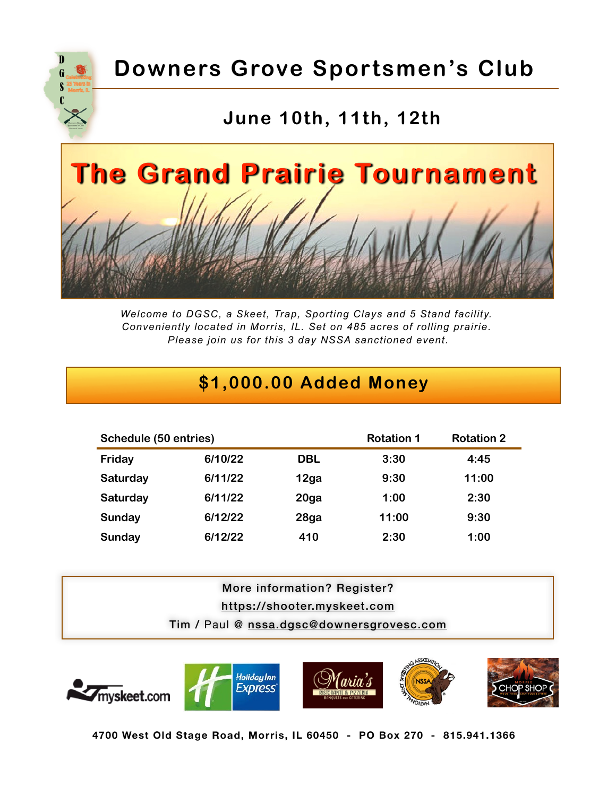

# **Downers Grove Sportsmen's Club**

## **June 10th, 11th, 12th**



*Welcome to DGSC, a Skeet, Trap, Sporting Clays and 5 Stand facility. Conveniently located in Morris, IL. Set on 485 acres of rolling prairie. Please join us for this 3 day NSSA sanctioned event.*

## **\$1,000.00 Added Money**

| Schedule (50 entries) |         | <b>Rotation 1</b> | <b>Rotation 2</b> |       |
|-----------------------|---------|-------------------|-------------------|-------|
| Friday                | 6/10/22 | <b>DBL</b>        | 3:30              | 4:45  |
| Saturday              | 6/11/22 | 12ga              | 9:30              | 11:00 |
| Saturday              | 6/11/22 | 20 <sub>g</sub> a | 1:00              | 2:30  |
| Sunday                | 6/12/22 | 28ga              | 11:00             | 9:30  |
| Sunday                | 6/12/22 | 410               | 2:30              | 1:00  |

## More information? Register? <https://shooter.myskeet.com> Tim / Paul @ [nssa.dgsc@downersgrovesc.com](mailto:nssa.dgsc@downersgrovesc.com)



**4700 West Old Stage Road, Morris, IL 60450 - PO Box 270 - 815.941.1366**